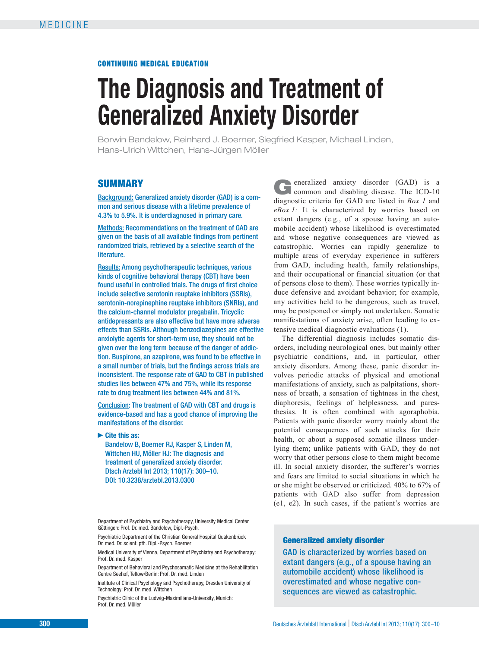# CONTINUING MEDICAL EDUCATION

# **The Diagnosis and Treatment of Generalized Anxiety Disorder**

Borwin Bandelow, Reinhard J. Boerner, Siegfried Kasper, Michael Linden, Hans-Ulrich Wittchen, Hans-Jürgen Möller

# **SUMMARY**

Background: Generalized anxiety disorder (GAD) is a common and serious disease with a lifetime prevalence of 4.3% to 5.9%. It is underdiagnosed in primary care.

Methods: Recommendations on the treatment of GAD are given on the basis of all available findings from pertinent randomized trials, retrieved by a selective search of the literature.

Results: Among psychotherapeutic techniques, various kinds of cognitive behavioral therapy (CBT) have been found useful in controlled trials. The drugs of first choice include selective serotonin reuptake inhibitors (SSRIs), serotonin-norepinephine reuptake inhibitors (SNRIs), and the calcium-channel modulator pregabalin. Tricyclic antidepressants are also effective but have more adverse effects than SSRIs. Although benzodiazepines are effective anxiolytic agents for short-term use, they should not be given over the long term because of the danger of addiction. Buspirone, an azapirone, was found to be effective in a small number of trials, but the findings across trials are inconsistent. The response rate of GAD to CBT in published studies lies between 47% and 75%, while its response rate to drug treatment lies between 44% and 81%.

Conclusion: The treatment of GAD with CBT and drugs is evidence-based and has a good chance of improving the manifestations of the disorder.

# **►Cite this as:**

Bandelow B, Boerner RJ, Kasper S, Linden M, Wittchen HU, Möller HJ: The diagnosis and treatment of generalized anxiety disorder. Dtsch Arztebl Int 2013; 110(17): 300–10. DOI: 10.3238/arztebl.2013.0300

Generalized anxiety disorder (GAD) is a common and disabling disease. The ICD-10 diagnostic criteria for GAD are listed in *Box 1* and *eBox 1:* It is characterized by worries based on extant dangers (e.g., of a spouse having an automobile accident) whose likelihood is overestimated and whose negative consequences are viewed as catastrophic. Worries can rapidly generalize to multiple areas of everyday experience in sufferers from GAD, including health, family relationships, and their occupational or financial situation (or that of persons close to them). These worries typically induce defensive and avoidant behavior; for example, any activities held to be dangerous, such as travel, may be postponed or simply not undertaken. Somatic manifestations of anxiety arise, often leading to extensive medical diagnostic evaluations (1).

The differential diagnosis includes somatic disorders, including neurological ones, but mainly other psychiatric conditions, and, in particular, other anxiety disorders. Among these, panic disorder involves periodic attacks of physical and emotional manifestations of anxiety, such as palpitations, shortness of breath, a sensation of tightness in the chest, diaphoresis, feelings of helplessness, and paresthesias. It is often combined with agoraphobia. Patients with panic disorder worry mainly about the potential consequences of such attacks for their health, or about a supposed somatic illness underlying them; unlike patients with GAD, they do not worry that other persons close to them might become ill. In social anxiety disorder, the sufferer's worries and fears are limited to social situations in which he or she might be observed or criticized. 40% to 67% of patients with GAD also suffer from depression (e1, e2). In such cases, if the patient's worries are

Department of Psychiatry and Psychotherapy, University Medical Center Göttingen: Prof. Dr. med. Bandelow, Dipl.-Psych.

Psychiatric Department of the Christian General Hospital Quakenbrück Dr. med. Dr. scient. pth. Dipl.-Psych. Boerner

Medical University of Vienna, Department of Psychiatry and Psychotherapy: Prof. Dr. med. Kasper

Department of Behavioral and Psychosomatic Medicine at the Rehabilitation Centre Seehof, Teltow/Berlin: Prof. Dr. med. Linden

Institute of Clinical Psychology and Psychotherapy, Dresden University of Technology: Prof. Dr. med. Wittchen

Psychiatric Clinic of the Ludwig-Maximilians-University, Munich: Prof. Dr. med. Möller

# Generalized anxiety disorder

GAD is characterized by worries based on extant dangers (e.g., of a spouse having an automobile accident) whose likelihood is overestimated and whose negative con sequences are viewed as catastrophic.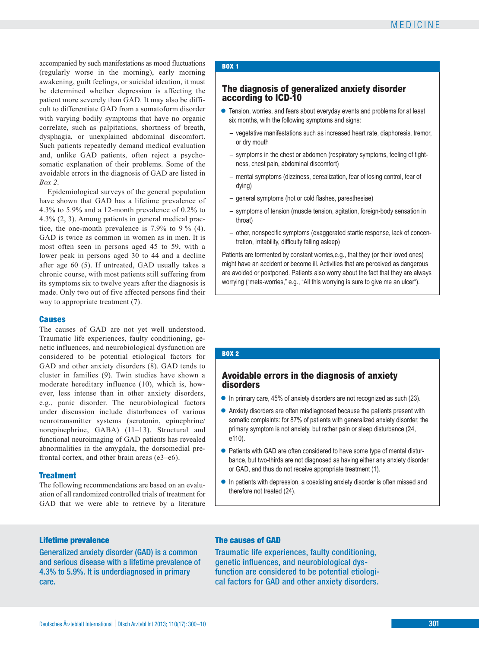accompanied by such manifestations as mood fluctuations (regularly worse in the morning), early morning awakening, guilt feelings, or suicidal ideation, it must be determined whether depression is affecting the patient more severely than GAD. It may also be difficult to differentiate GAD from a somatoform disorder with varying bodily symptoms that have no organic correlate, such as palpitations, shortness of breath, dysphagia, or unexplained abdominal discomfort. Such patients repeatedly demand medical evaluation and, unlike GAD patients, often reject a psychosomatic explanation of their problems. Some of the avoidable errors in the diagnosis of GAD are listed in *Box 2*.

Epidemiological surveys of the general population have shown that GAD has a lifetime prevalence of 4.3% to 5.9% and a 12-month prevalence of 0.2% to 4.3% (2, 3). Among patients in general medical practice, the one-month prevalence is  $7.9\%$  to  $9\%$  (4). GAD is twice as common in women as in men. It is most often seen in persons aged 45 to 59, with a lower peak in persons aged 30 to 44 and a decline after age 60 (5). If untreated, GAD usually takes a chronic course, with most patients still suffering from its symptoms six to twelve years after the diagnosis is made. Only two out of five affected persons find their way to appropriate treatment (7).

## Causes

The causes of GAD are not yet well understood. Traumatic life experiences, faulty conditioning, genetic influences, and neurobiological dysfunction are considered to be potential etiological factors for GAD and other anxiety disorders (8). GAD tends to cluster in families (9). Twin studies have shown a moderate hereditary influence (10), which is, however, less intense than in other anxiety disorders, e.g., panic disorder. The neurobiological factors under discussion include disturbances of various neurotransmitter systems (serotonin, epinephrine/ norepinephrine, GABA) (11-13). Structural and functional neuroimaging of GAD patients has revealed abnormalities in the amygdala, the dorsomedial prefrontal cortex, and other brain areas (e3–e6).

# **Treatment**

The following recommendations are based on an evaluation of all randomized controlled trials of treatment for GAD that we were able to retrieve by a literature

# Lifetime prevalence

Generalized anxiety disorder (GAD) is a common and serious disease with a lifetime prevalence of 4.3% to 5.9%. It is underdiagnosed in primary care.

#### BOX 1

# The diagnosis of generalized anxiety disorder according to ICD-10

- **●** Tension, worries, and fears about everyday events and problems for at least six months, with the following symptoms and signs:
	- vegetative manifestations such as increased heart rate, diaphoresis, tremor, or dry mouth
	- symptoms in the chest or abdomen (respiratory symptoms, feeling of tightness, chest pain, abdominal discomfort)
	- mental symptoms (dizziness, derealization, fear of losing control, fear of dying)
- general symptoms (hot or cold flashes, paresthesiae)
- symptoms of tension (muscle tension, agitation, foreign-body sensation in throat)
- other, nonspecific symptoms (exaggerated startle response, lack of concentration, irritability, difficulty falling asleep)

Patients are tormented by constant worries, e.g., that they (or their loved ones) might have an accident or become ill. Activities that are perceived as dangerous are avoided or postponed. Patients also worry about the fact that they are always worrying ("meta-worries," e.g., "All this worrying is sure to give me an ulcer").

#### BOX 2

# Avoidable errors in the diagnosis of anxiety disorders

- **●** In primary care, 45% of anxiety disorders are not recognized as such (23).
- **●** Anxiety disorders are often misdiagnosed because the patients present with somatic complaints: for 87% of patients with generalized anxiety disorder, the primary symptom is not anxiety, but rather pain or sleep disturbance (24, e110).
- Patients with GAD are often considered to have some type of mental disturbance, but two-thirds are not diagnosed as having either any anxiety disorder or GAD, and thus do not receive appropriate treatment (1).
- **●** In patients with depression, a coexisting anxiety disorder is often missed and therefore not treated (24).

# The causes of GAD

Traumatic life experiences, faulty conditioning, genetic influences, and neurobiological dysfunction are considered to be potential etiological factors for GAD and other anxiety disorders.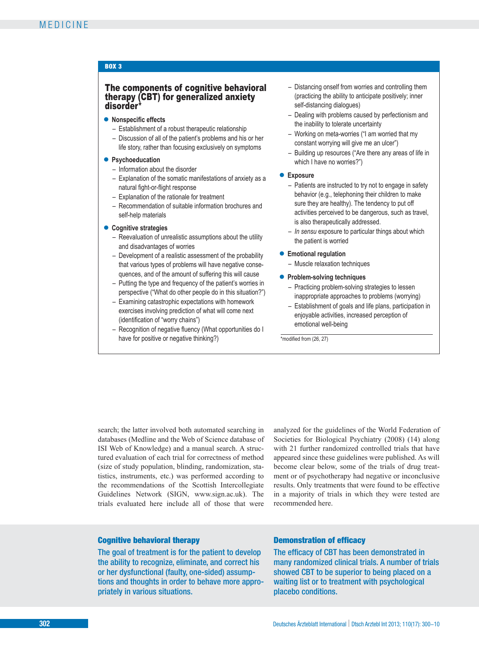## BOX 3

# The components of cognitive behavioral therapy (CBT) for generalized anxiety disorder\*

- **● Nonspecific effects**
	- Establishment of a robust therapeutic relationship
	- Discussion of all of the patient's problems and his or her life story, rather than focusing exclusively on symptoms

### **● Psychoeducation**

- Information about the disorder
- Explanation of the somatic manifestations of anxiety as a natural fight-or-flight response
- Explanation of the rationale for treatment
- Recommendation of suitable information brochures and self-help materials

#### **● Cognitive strategies**

- Reevaluation of unrealistic assumptions about the utility and disadvantages of worries
- Development of a realistic assessment of the probability that various types of problems will have negative consequences, and of the amount of suffering this will cause
- Putting the type and frequency of the patient's worries in perspective ("What do other people do in this situation?")
- Examining catastrophic expectations with homework exercises involving prediction of what will come next (identification of "worry chains")
- Recognition of negative fluency (What opportunities do I have for positive or negative thinking?)
- Distancing onself from worries and controlling them (practicing the ability to anticipate positively; inner self-distancing dialogues)
- Dealing with problems caused by perfectionism and the inability to tolerate uncertainty
- Working on meta-worries ("I am worried that my constant worrying will give me an ulcer")
- Building up resources ("Are there any areas of life in which I have no worries?")

#### **● Exposure**

- Patients are instructed to try not to engage in safety behavior (e.g., telephoning their children to make sure they are healthy). The tendency to put off activities perceived to be dangerous, such as travel, is also therapeutically addressed.
- *In sensu* exposure to particular things about which the patient is worried

#### **● Emotional regulation**

– Muscle relaxation techniques

#### **● Problem-solving techniques**

- Practicing problem-solving strategies to lessen inappropriate approaches to problems (worrying)
- Establishment of goals and life plans, participation in enjoyable activities, increased perception of emotional well-being

\*modified from (26, 27)

search; the latter involved both automated searching in databases (Medline and the Web of Science database of ISI Web of Knowledge) and a manual search. A structured evaluation of each trial for correctness of method (size of study population, blinding, randomization, sta tistics, instruments, etc.) was performed according to the recommendations of the Scottish Intercollegiate Guidelines Network (SIGN, www.sign.ac.uk). The trials evaluated here include all of those that were

 analyzed for the guidelines of the World Federation of Societies for Biological Psychiatry (2008) (14) along with 21 further randomized controlled trials that have appeared since these guidelines were published. As will become clear below, some of the trials of drug treatment or of psychotherapy had negative or inconclusive results. Only treatments that were found to be effective in a majority of trials in which they were tested are recommended here.

# Cognitive behavioral therapy

The goal of treatment is for the patient to develop the ability to recognize, eliminate, and correct his or her dysfunctional (faulty, one-sided) assumptions and thoughts in order to behave more appropriately in various situations.

# Demonstration of efficacy

 The efficacy of CBT has been demonstrated in many randomized clinical trials. A number of trials showed CBT to be superior to being placed on a waiting list or to treatment with psychological placebo conditions.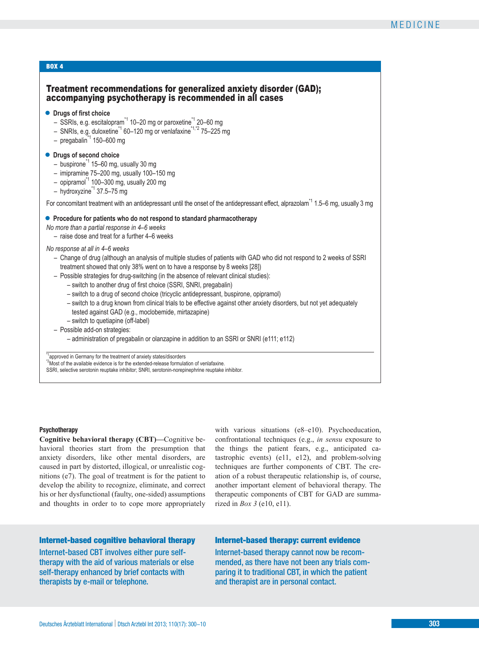# Treatment recommendations for generalized anxiety disorder (GAD); accompanying psychotherapy is recommended in all cases

# **● Drugs of first choice**

- SSRIs, e.g. escitalopram\*1 10–20 mg or paroxetine\*1 20–60 mg
- SNRIs, e.g. duloxetine<sup>\*1</sup> 60–120 mg or venlafaxine<sup>\*1,\*2</sup> 75–225 mg
- pregabalin $1150-600$  mg

#### **● Drugs of second choice**

- buspirone<sup> $1$ </sup> 15–60 mg, usually 30 mg
- imipramine 75–200 mg, usually 100–150 mg
- opipramol $11$  100–300 mg, usually 200 mg
- hydroxyzine $1/37.5-75$  mg

For concomitant treatment with an antidepressant until the onset of the antidepressant effect, alprazolam<sup>\*1</sup> 1.5–6 mg, usually 3 mg

#### **● Procedure for patients who do not respond to standard pharmacotherapy**

*No more than a partial response in 4–6 weeks* 

– raise dose and treat for a further 4–6 weeks

# *No response at all in 4–6 weeks*

- Change of drug (although an analysis of multiple studies of patients with GAD who did not respond to 2 weeks of SSRI treatment showed that only 38% went on to have a response by 8 weeks [28])
- Possible strategies for drug-switching (in the absence of relevant clinical studies):
	- switch to another drug of first choice (SSRI, SNRI, pregabalin)
	- switch to a drug of second choice (tricyclic antidepressant, buspirone, opipramol)
	- switch to a drug known from clinical trials to be effective against other anxiety disorders, but not yet adequately tested against GAD (e.g., moclobemide, mirtazapine)
	- switch to quetiapine (off-label)
- Possible add-on strategies:
	- administration of pregabalin or olanzapine in addition to an SSRI or SNRI (e111; e112)

\*<sup>1</sup>approved in Germany for the treatment of anxiety states/disorders

\*2Most of the available evidence is for the extended-release formulation of venlafaxine. SSRI, selective serotonin reuptake inhibitor; SNRI, serotonin-norepinephrine reuptake inhibitor.

#### **Psychotherapy**

**Cognitive behavioral therapy (CBT)—**Cognitive behavioral theories start from the presumption that anxiety disorders, like other mental disorders, are caused in part by distorted, illogical, or unrealistic cognitions (e7). The goal of treatment is for the patient to develop the ability to recognize, eliminate, and correct his or her dysfunctional (faulty, one-sided) assumptions and thoughts in order to to cope more appropriately

with various situations (e8–e10). Psychoeducation, confrontational techniques (e.g., *in sensu* exposure to the things the patient fears, e.g., anticipated catastrophic events) (e11, e12), and problem-solving techniques are further components of CBT. The creation of a robust therapeutic relationship is, of course, another important element of behavioral therapy. The therapeutic components of CBT for GAD are summarized in *Box 3* (e10, e11).

# Internet-based cognitive behavioral therapy

Internet-based CBT involves either pure self therapy with the aid of various materials or else self-therapy enhanced by brief contacts with therapists by e-mail or telephone.

## Internet-based therapy: current evidence

Internet-based therapy cannot now be recommended, as there have not been any trials comparing it to traditional CBT, in which the patient and therapist are in personal contact.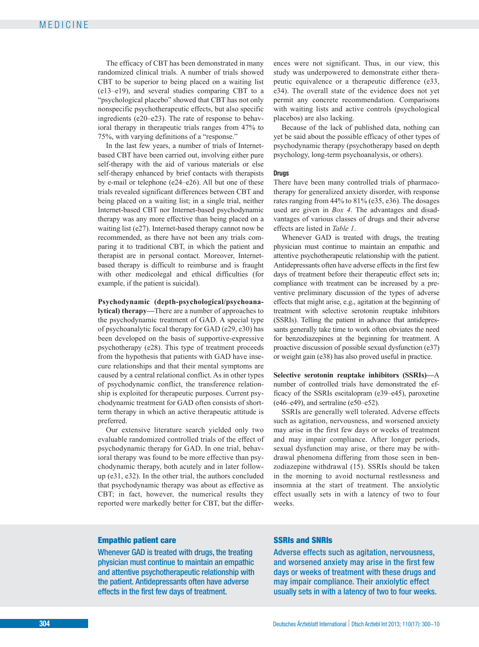The efficacy of CBT has been demonstrated in many randomized clinical trials. A number of trials showed CBT to be superior to being placed on a waiting list (e13–e19), and several studies comparing CBT to a "psychological placebo" showed that CBT has not only nonspecific psychotherapeutic effects, but also specific ingredients (e20–e23). The rate of response to behavioral therapy in therapeutic trials ranges from 47% to 75%, with varying definitions of a "response."

In the last few years, a number of trials of Internetbased CBT have been carried out, involving either pure self-therapy with the aid of various materials or else self-therapy enhanced by brief contacts with therapists by e-mail or telephone (e24–e26). All but one of these trials revealed significant differences between CBT and being placed on a waiting list; in a single trial, neither Internet-based CBT nor Internet-based psychodynamic therapy was any more effective than being placed on a waiting list (e27). Internet-based therapy cannot now be recommended, as there have not been any trials comparing it to traditional CBT, in which the patient and therapist are in personal contact. Moreover, Internetbased therapy is difficult to reimburse and is fraught with other medicolegal and ethical difficulties (for example, if the patient is suicidal).

Psychodynamic (depth-psychological/psychoana**lytical) therapy—**There are a number of approaches to the psychodynamic treatment of GAD. A special type of psychoanalytic focal therapy for GAD (e29, e30) has been developed on the basis of supportive-expressive psychotherapy (e28). This type of treatment proceeds from the hypothesis that patients with GAD have insecure relationships and that their mental symptoms are caused by a central relational conflict. As in other types of psychodynamic conflict, the transference relationship is exploited for therapeutic purposes. Current psychodynamic treatment for GAD often consists of shortterm therapy in which an active therapeutic attitude is preferred.

Our extensive literature search yielded only two evaluable randomized controlled trials of the effect of psychodynamic therapy for GAD. In one trial, behavioral therapy was found to be more effective than psychodynamic therapy, both acutely and in later followup (e31, e32). In the other trial, the authors concluded that psychodynamic therapy was about as effective as CBT; in fact, however, the numerical results they reported were markedly better for CBT, but the differences were not significant. Thus, in our view, this study was underpowered to demonstrate either therapeutic equivalence or a therapeutic difference (e33, e34). The overall state of the evidence does not yet permit any concrete recommendation. Comparisons with waiting lists and active controls (psychological placebos) are also lacking.

Because of the lack of published data, nothing can yet be said about the possible efficacy of other types of psychodynamic therapy (psychotherapy based on depth psychology, long-term psychoanalysis, or others).

#### **Drugs**

There have been many controlled trials of pharmacotherapy for generalized anxiety disorder, with response rates ranging from 44% to 81% (e35, e36). The dosages used are given in *Box 4*. The advantages and disadvantages of various classes of drugs and their adverse effects are listed in *Table 1*.

Whenever GAD is treated with drugs, the treating physician must continue to maintain an empathic and attentive psychotherapeutic relationship with the patient. Antidepressants often have adverse effects in the first few days of treatment before their therapeutic effect sets in; compliance with treatment can be increased by a preventive preliminary discussion of the types of adverse effects that might arise, e.g., agitation at the beginning of treatment with selective serotonin reuptake inhibitors (SSRIs). Telling the patient in advance that antidepressants generally take time to work often obviates the need for benzodiazepines at the beginning for treatment. A proactive discussion of possible sexual dysfunction (e37) or weight gain (e38) has also proved useful in practice.

**Selective serotonin reuptake inhibitors (SSRIs)—**A number of controlled trials have demonstrated the efficacy of the SSRIs escitalopram (e39–e45), paroxetine (e46–e49), and sertraline (e50–e52).

SSRIs are generally well tolerated. Adverse effects such as agitation, nervousness, and worsened anxiety may arise in the first few days or weeks of treatment and may impair compliance. After longer periods, sexual dysfunction may arise, or there may be withdrawal phenomena differing from those seen in benzodiazepine withdrawal (15). SSRIs should be taken in the morning to avoid nocturnal restlessness and insomnia at the start of treatment. The anxiolytic effect usually sets in with a latency of two to four weeks.

# Empathic patient care

Whenever GAD is treated with drugs, the treating physician must continue to maintain an empathic and attentive psychotherapeutic relationship with the patient. Antidepressants often have adverse effects in the first few days of treatment.

#### SSRIs and SNRIs

Adverse effects such as agitation, nervousness, and worsened anxiety may arise in the first few days or weeks of treatment with these drugs and may impair compliance. Their anxiolytic effect usually sets in with a latency of two to four weeks.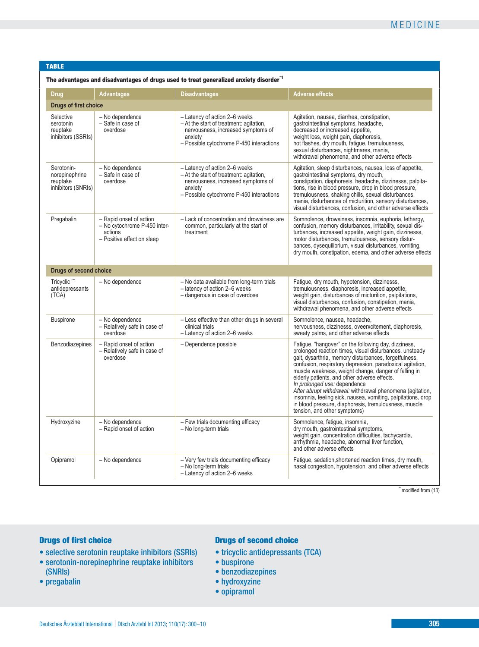#### TABLE

# The advantages and disadvantages of drugs used to treat generalized anxiety disorder $^{\text{`1}}$

| <b>Drug</b>                                                    | <b>Advantages</b>                                                                                | <b>Disadvantages</b>                                                                                                                                                  | <b>Adverse effects</b>                                                                                                                                                                                                                                                                                                                                                                                                                                                                                                                                                                              |  |
|----------------------------------------------------------------|--------------------------------------------------------------------------------------------------|-----------------------------------------------------------------------------------------------------------------------------------------------------------------------|-----------------------------------------------------------------------------------------------------------------------------------------------------------------------------------------------------------------------------------------------------------------------------------------------------------------------------------------------------------------------------------------------------------------------------------------------------------------------------------------------------------------------------------------------------------------------------------------------------|--|
| <b>Drugs of first choice</b>                                   |                                                                                                  |                                                                                                                                                                       |                                                                                                                                                                                                                                                                                                                                                                                                                                                                                                                                                                                                     |  |
| Selective<br>serotonin<br>reuptake<br>inhibitors (SSRIs)       | - No dependence<br>- Safe in case of<br>overdose                                                 | - Latency of action 2-6 weeks<br>- At the start of treatment: agitation,<br>nervousness, increased symptoms of<br>anxiety<br>- Possible cytochrome P-450 interactions | Agitation, nausea, diarrhea, constipation,<br>gastrointestinal symptoms, headache,<br>decreased or increased appetite,<br>weight loss, weight gain, diaphoresis,<br>hot flashes, dry mouth, fatique, tremulousness,<br>sexual disturbances, nightmares, mania,<br>withdrawal phenomena, and other adverse effects                                                                                                                                                                                                                                                                                   |  |
| Serotonin-<br>norepinephrine<br>reuptake<br>inhibitors (SNRIs) | - No dependence<br>- Safe in case of<br>overdose                                                 | - Latency of action 2-6 weeks<br>- At the start of treatment: agitation,<br>nervousness, increased symptoms of<br>anxiety<br>- Possible cytochrome P-450 interactions | Agitation, sleep disturbances, nausea, loss of appetite,<br>gastrointestinal symptoms, dry mouth,<br>constipation, diaphoresis, headache, dizzinesss, palpita-<br>tions, rise in blood pressure, drop in blood pressure,<br>tremulousness, shaking chills, sexual disturbances,<br>mania, disturbances of micturition, sensory disturbances,<br>visual disturbances, confusion, and other adverse effects                                                                                                                                                                                           |  |
| Pregabalin                                                     | - Rapid onset of action<br>- No cytochrome P-450 inter-<br>actions<br>- Positive effect on sleep | - Lack of concentration and drowsiness are<br>common, particularly at the start of<br>treatment                                                                       | Somnolence, drowsiness, insomnia, euphoria, lethargy,<br>confusion, memory disturbances, irritability, sexual dis-<br>turbances, increased appetite, weight gain, dizzinesss,<br>motor disturbances, tremulousness, sensory distur-<br>bances, dysequilibrium, visual disturbances, vomiting,<br>dry mouth, constipation, edema, and other adverse effects                                                                                                                                                                                                                                          |  |
| Drugs of second choice                                         |                                                                                                  |                                                                                                                                                                       |                                                                                                                                                                                                                                                                                                                                                                                                                                                                                                                                                                                                     |  |
| Tricyclic "<br>antidepressants<br>(TCA)                        | - No dependence                                                                                  | - No data available from long-term trials<br>- latency of action 2-6 weeks<br>- dangerous in case of overdose                                                         | Fatigue, dry mouth, hypotension, dizzinesss,<br>tremulousness, diaphoresis, increased appetite,<br>weight gain, disturbances of micturition, palpitations,<br>visual disturbances, confusion, constipation, mania,<br>withdrawal phenomena, and other adverse effects                                                                                                                                                                                                                                                                                                                               |  |
| <b>Buspirone</b>                                               | - No dependence<br>- Relatively safe in case of<br>overdose                                      | - Less effective than other drugs in several<br>clinical trials<br>- Latency of action 2-6 weeks                                                                      | Somnolence, nausea, headache,<br>nervousness, dizzinesss, oveerxcitement, diaphoresis,<br>sweaty palms, and other adverse effects                                                                                                                                                                                                                                                                                                                                                                                                                                                                   |  |
| Benzodiazepines                                                | - Rapid onset of action<br>- Relatively safe in case of<br>overdose                              | - Dependence possible                                                                                                                                                 | Fatigue, "hangover" on the following day, dizziness,<br>prolonged reaction times, visual disturbances, unsteady<br>gait, dysarthria, memory disturbances, forgetfulness,<br>confusion, respiratory depression, paradoxical agitation,<br>muscle weakness, weight change, danger of falling in<br>elderly patients, and other adverse effects.<br>In prolonged use: dependence<br>After abrupt withdrawal: withdrawal phenomena (agitation,<br>insomnia, feeling sick, nausea, vomiting, palpitations, drop<br>in blood pressure, diaphoresis, tremulousness, muscle<br>tension, and other symptoms) |  |
| Hydroxyzine                                                    | - No dependence<br>- Rapid onset of action                                                       | - Few trials documenting efficacy<br>- No long-term trials                                                                                                            | Somnolence, fatigue, insomnia,<br>dry mouth, gastrointestinal symptoms,<br>weight gain, concentration difficulties, tachycardia,<br>arrhythmia, headache, abnormal liver function,<br>and other adverse effects                                                                                                                                                                                                                                                                                                                                                                                     |  |
| Opipramol                                                      | - No dependence                                                                                  | - Very few trials documenting efficacy<br>- No long-term trials<br>- Latency of action 2-6 weeks                                                                      | Fatigue, sedation, shortened reaction times, dry mouth,<br>nasal congestion, hypotension, and other adverse effects                                                                                                                                                                                                                                                                                                                                                                                                                                                                                 |  |

\*1modified from (13)

# Drugs of first choice

- selective serotonin reuptake inhibitors (SSRIs)
- serotonin-norepinephrine reuptake inhibitors
- (SNRIs) • pregabalin

# Drugs of second choice

- tricyclic antidepressants (TCA)
- buspirone
- benzodiazepines
- hydroxyzine
- opipramol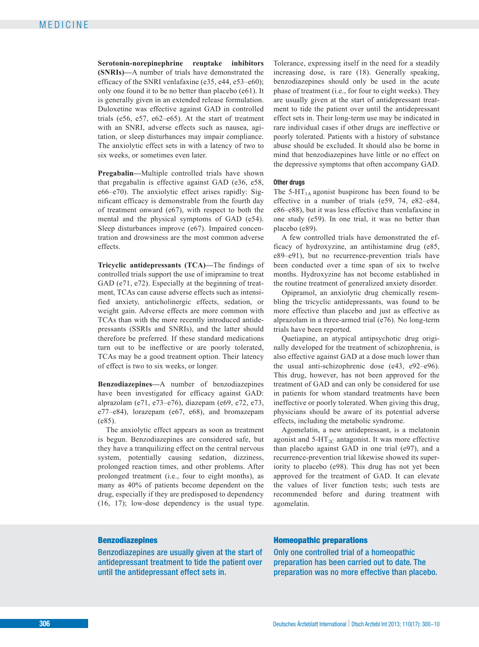**Serotonin-norepinephrine reuptake inhibitors (SNRIs)—**A number of trials have demonstrated the efficacy of the SNRI venlafaxine (e35, e44, e53–e60); only one found it to be no better than placebo (e61). It is generally given in an extended release formulation. Duloxetine was effective against GAD in controlled trials (e56, e57, e62–e65). At the start of treatment with an SNRI, adverse effects such as nausea, agitation, or sleep disturbances may impair compliance. The anxiolytic effect sets in with a latency of two to six weeks, or sometimes even later.

**Pregabalin—**Multiple controlled trials have shown that pregabalin is effective against GAD (e36, e58, e66–e70). The anxiolytic effect arises rapidly: Significant efficacy is demonstrable from the fourth day of treatment onward (e67), with respect to both the mental and the physical symptoms of GAD (e54). Sleep disturbances improve (e67). Impaired concentration and drowsiness are the most common adverse effects.

**Tricyclic antidepressants (TCA)—**The findings of controlled trials support the use of imipramine to treat GAD (e71, e72). Especially at the beginning of treatment, TCAs can cause adverse effects such as intensified anxiety, anticholinergic effects, sedation, or weight gain. Adverse effects are more common with TCAs than with the more recently introduced antidepressants (SSRIs and SNRIs), and the latter should therefore be preferred. If these standard medications turn out to be ineffective or are poorly tolerated, TCAs may be a good treatment option. Their latency of effect is two to six weeks, or longer.

**Benzodiazepines—**A number of benzodiazepines have been investigated for efficacy against GAD: alprazolam (e71, e73–e76), diazepam (e69, e72, e73, e77–e84), lorazepam (e67, e68), and bromazepam (e85).

The anxiolytic effect appears as soon as treatment is begun. Benzodiazepines are considered safe, but they have a tranquilizing effect on the central nervous system, potentially causing sedation, dizziness, prolonged reaction times, and other problems. After prolonged treatment (i.e., four to eight months), as many as 40% of patients become dependent on the drug, especially if they are predisposed to dependency (16, 17); low-dose dependency is the usual type. Tolerance, expressing itself in the need for a steadily increasing dose, is rare (18). Generally speaking, benzodiazepines should only be used in the acute phase of treatment (i.e., for four to eight weeks). They are usually given at the start of antidepressant treatment to tide the patient over until the antidepressant effect sets in. Their long-term use may be indicated in rare individual cases if other drugs are ineffective or poorly tolerated. Patients with a history of substance abuse should be excluded. It should also be borne in mind that benzodiazepines have little or no effect on the depressive symptoms that often accompany GAD.

#### **Other drugs**

The 5-HT<sub>1A</sub> agonist buspirone has been found to be effective in a number of trials (e59, 74, e82–e84, e86–e88), but it was less effective than venlafaxine in one study (e59). In one trial, it was no better than placebo (e89).

A few controlled trials have demonstrated the efficacy of hydroxyzine, an antihistamine drug (e85, e89–e91), but no recurrence-prevention trials have been conducted over a time span of six to twelve months. Hydroxyzine has not become established in the routine treatment of generalized anxiety disorder.

Opipramol, an anxiolytic drug chemically resembling the tricyclic antidepressants, was found to be more effective than placebo and just as effective as alprazolam in a three-armed trial (e76). No long-term trials have been reported.

Quetiapine, an atypical antipsychotic drug originally developed for the treatment of schizophrenia, is also effective against GAD at a dose much lower than the usual anti-schizophrenic dose (e43, e92–e96). This drug, however, has not been approved for the treatment of GAD and can only be considered for use in patients for whom standard treatments have been ineffective or poorly tolerated. When giving this drug, physicians should be aware of its potential adverse effects, including the metabolic syndrome.

Agomelatin, a new antidepressant, is a melatonin agonist and  $5-\text{HT}_{2C}$  antagonist. It was more effective than placebo against GAD in one trial (e97), and a recurrence-prevention trial likewise showed its super iority to placebo (e98). This drug has not yet been approved for the treatment of GAD. It can elevate the values of liver function tests; such tests are recommended before and during treatment with agomelatin.

#### Benzodiazepines

Benzodiazepines are usually given at the start of antidepressant treatment to tide the patient over until the antidepressant effect sets in.

# Homeopathic preparations

Only one controlled trial of a homeopathic preparation has been carried out to date. The preparation was no more effective than placebo.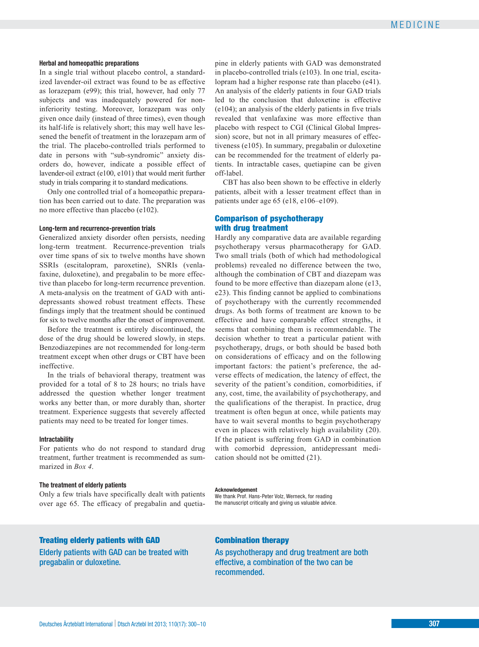#### **Herbal and homeopathic preparations**

In a single trial without placebo control, a standardized lavender-oil extract was found to be as effective as lorazepam (e99); this trial, however, had only 77 subjects and was inadequately powered for non inferiority testing. Moreover, lorazepam was only given once daily (instead of three times), even though its half-life is relatively short; this may well have lessened the benefit of treatment in the lorazepam arm of the trial. The placebo-controlled trials performed to date in persons with "sub-syndromic" anxiety disorders do, however, indicate a possible effect of lavender-oil extract (e100, e101) that would merit further study in trials comparing it to standard medications.

Only one controlled trial of a homeopathic preparation has been carried out to date. The preparation was no more effective than placebo (e102).

#### **Long-term and recurrence-prevention trials**

Generalized anxiety disorder often persists, needing long-term treatment. Recurrence-prevention trials over time spans of six to twelve months have shown SSRIs (escitalopram, paroxetine), SNRIs (venlafaxine, duloxetine), and pregabalin to be more effective than placebo for long-term recurrence prevention. A meta-analysis on the treatment of GAD with antidepressants showed robust treatment effects. These findings imply that the treatment should be continued for six to twelve months after the onset of improvement.

Before the treatment is entirely discontinued, the dose of the drug should be lowered slowly, in steps. Benzodiazepines are not recommended for long-term treatment except when other drugs or CBT have been ineffective.

In the trials of behavioral therapy, treatment was provided for a total of 8 to 28 hours; no trials have addressed the question whether longer treatment works any better than, or more durably than, shorter treatment. Experience suggests that severely affected patients may need to be treated for longer times.

# **Intractability**

For patients who do not respond to standard drug treatment, further treatment is recommended as summarized in *Box 4*.

#### **The treatment of elderly patients**

Only a few trials have specifically dealt with patients over age 65. The efficacy of pregabalin and quetia-

pine in elderly patients with GAD was demonstrated in placebo-controlled trials (e103). In one trial, escitalopram had a higher response rate than placebo (e41). An analysis of the elderly patients in four GAD trials led to the conclusion that duloxetine is effective (e104); an analysis of the elderly patients in five trials revealed that venlafaxine was more effective than placebo with respect to CGI (Clinical Global Impression) score, but not in all primary measures of effectiveness (e105). In summary, pregabalin or duloxetine can be recommended for the treatment of elderly patients. In intractable cases, quetiapine can be given off-label.

CBT has also been shown to be effective in elderly patients, albeit with a lesser treatment effect than in patients under age 65 (e18, e106–e109).

## Comparison of psychotherapy with drug treatment

Hardly any comparative data are available regarding psychotherapy versus pharmacotherapy for GAD. Two small trials (both of which had methodological problems) revealed no difference between the two, although the combination of CBT and diazepam was found to be more effective than diazepam alone (e13, e23). This finding cannot be applied to combinations of psychotherapy with the currently recommended drugs. As both forms of treatment are known to be effective and have comparable effect strengths, it seems that combining them is recommendable. The decision whether to treat a particular patient with psychotherapy, drugs, or both should be based both on considerations of efficacy and on the following important factors: the patient's preference, the adverse effects of medication, the latency of effect, the severity of the patient's condition, comorbidities, if any, cost, time, the availability of psychotherapy, and the qualifications of the therapist. In practice, drug treatment is often begun at once, while patients may have to wait several months to begin psychotherapy even in places with relatively high availability (20). If the patient is suffering from GAD in combination with comorbid depression, antidepressant medication should not be omitted (21).

#### **Acknowledgement**

We thank Prof. Hans-Peter Volz, Werneck, for reading the manuscript critically and giving us valuable advice.

# Treating elderly patients with GAD

 Elderly patients with GAD can be treated with pregabalin or duloxetine.

# Combination therapy

As psychotherapy and drug treatment are both effective, a combination of the two can be recommended.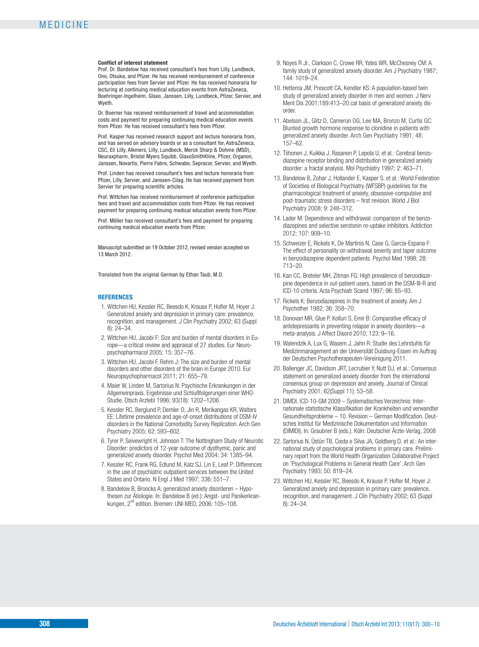# MEDICINE

#### **Conflict of interest statement**

Prof. Dr. Bandelow has received consultant's fees from Lilly, Lundbeck, Ono, Otsuka, and Pfizer. He has received reimbursement of conference participation fees from Servier and Pfizer. He has received honoraria for lecturing at continuing medical education events from AstraZeneca, Boehringer-Ingelheim, Glaxo, Janssen, Lilly, Lundbeck, Pfizer, Servier, and Wyeth.

Dr. Boerner has received reimbursement of travel and accommodation costs and payment for preparing continuing medical education events from Pfizer. He has received consultant's fees from Pfizer.

Prof. Kasper has received research support and lecture honoraria from, and has served on advisory boards or as a consultant for, AstraZeneca, CSC, Eli Lilly, Alkmers, Lilly, Lundbeck, Merck Sharp & Dohme (MSD), Neuraxpharm, Bristol Myers Squibb, GlaxoSmithKline, Pfizer, Organon, Janssen, Novartis, Pierre Fabre, Schwabe, Sepracor, Servier, and Wyeth.

Prof. Linden has received consultant's fees and lecture honoraria from Pfizer, Lilly, Servier, and Janssen-Cilag. He has received payment from Servier for preparing scientific articles.

Prof. Wittchen has received reimbursement of conference participation fees and travel and accommodation costs from Pfizer. He has received payment for preparing continuing medical education events from Pfizer.

Prof. Möller has received consultant's fees and payment for preparing continuing medical education events from Pfizer.

Manuscript submitted on 19 October 2012, revised version accepted on 13 March 2012.

Translated from the original German by Ethan Taub, M.D.

#### **REFERENCES**

- 1. Wittchen HU, Kessler RC, Beesdo K, Krause P, Hofler M, Hoyer J: Generalized anxiety and depression in primary care: prevalence, recognition, and management. J Clin Psychiatry 2002; 63 (Suppl 8): 24–34.
- 2. Wittchen HU, Jacobi F: Size and burden of mental disorders in Europe—a critical review and appraisal of 27 studies. Eur Neuropsychopharmacol 2005; 15: 357–76.
- 3. Wittchen HU, Jacobi F, Rehm J: The size and burden of mental disorders and other disorders of the brain in Europe 2010. Eur Neuropsychopharmacol 2011; 21: 655–79.
- 4. Maier W, Linden M, Sartorius N: Psychische Erkrankungen in der Allgemeinpraxis. Ergebnisse und Schlußfolgerungen einer WHO-Studie. Dtsch Arztebl 1996; 93(18): 1202–1206.
- 5. Kessler RC, Berglund P, Demler O, Jin R, Merikangas KR, Walters EE: Lifetime prevalence and age-of-onset distributions of DSM-IV disorders in the National Comorbidity Survey Replication. Arch Gen Psychiatry 2005; 62: 593–602.
- 6. Tyrer P, Seivewright H, Johnson T: The Nottingham Study of Neurotic Disorder: predictors of 12-year outcome of dysthymic, panic and generalized anxiety disorder. Psychol Med 2004; 34: 1385–94.
- 7. Kessler RC, Frank RG, Edlund M, Katz SJ, Lin E, Leaf P: Differences in the use of psychiatric outpatient services between the United States and Ontario. N Engl J Med 1997; 336: 551–7.
- 8. Bandelow B, Broocks A: generalized anxiety disorderen Hypothesen zur Ätiologie. In: Bandelow B (ed.): Angst- und Panikerkrankungen, 2<sup>nd</sup> edition. Bremen: UNI-MED, 2006: 105-108.
- 9. Noyes R Jr., Clarkson C, Crowe RR, Yates WR, McChesney CM: A family study of generalized anxiety disorder. Am J Psychiatry 1987: 144: 1019–24.
- 10. Hettema JM, Prescott CA, Kendler KS: A population-based twin study of generalized anxiety disorder in men and women. J Nerv Ment Dis 2001;189:413–20.cal basis of generalized anxiety disorder.
- 11. Abelson JL, Glitz D, Cameron OG, Lee MA, Bronzo M, Curtis GC: Blunted growth hormone response to clonidine in patients with generalized anxiety disorder. Arch Gen Psychiatry 1991; 48: 157–62.
- 12. Tiihonen J, Kuikka J, Rasanen P, Lepola U, et al.: Cerebral benzodiazepine receptor binding and distribution in generalized anxiety disorder: a fractal analysis. Mol Psychiatry 1997; 2: 463–71.
- 13. Bandelow B, Zohar J, Hollander E, Kasper S, et al.: World Federation of Societies of Biological Psychiatry (WFSBP) guidelines for the pharmacological treatment of anxiety, obsessive-compulsive and post-traumatic stress disorders – first revision. World J Biol Psychiatry 2008; 9: 248–312.
- 14. Lader M: Dependence and withdrawal: comparison of the benzodiazepines and selective serotonin re-uptake inhibitors. Addiction 2012; 107: 909–10.
- 15. Schweizer E, Rickels K, De Martinis N, Case G, Garcia-Espana F: The effect of personality on withdrawal severity and taper outcome in benzodiazepine dependent patients. Psychol Med 1998; 28: 713–20.
- 16. Kan CC, Breteler MH, Zitman FG: High prevalence of benzodiaze pine dependence in out-patient users, based on the DSM-III-R and ICD-10 criteria. Acta Psychiatr Scand 1997; 96: 85–93.
- 17. Rickels K: Benzodiazepines in the treatment of anxiety. Am J Psychother 1982; 36: 358–70.
- 18. Donovan MR, Glue P, Kolluri S, Emir B: Comparative efficacy of antidepressants in preventing relapse in anxiety disorders—a meta-analysis. J Affect Disord 2010; 123: 9–16.
- 19. Walendzik A, Lux G, Wasem J, Jahn R: Studie des Lehrstuhls für Medizinmanagement an der Universität Duisburg-Essen im Auftrag der Deutschen Psychotherapeuten-Vereinigung 2011.
- 20. Ballenger JC, Davidson JRT, Lecrubier Y, Nutt DJ, et al.: Consensus statement on generalized anxiety disorder from the international consensus group on depression and anxiety. Journal of Clinical Psychiatry 2001; 62(Suppl 11): 53–58.
- 21. DIMDI. ICD-10-GM 2009 Systematisches Verzeichnis: Internationale statistische Klassifikation der Krankheiten und verwandter Gesundheitsprobleme – 10. Revision – German Modification. Deutsches Institut für Medizinische Dokumentation und Information (DIMIDI). In: Graubner B (eds.). Köln: Deutscher Ärzte-Verlag, 2008
- 22. Sartorius N, Üstün TB, Costa e Silva JA, Goldberg D, et al.: An international study of psychological problems in primary care. Preliminary report from the World Health Organization Collaborative Project on 'Psychological Problems in General Health Care'. Arch Gen Psychiatry 1993; 50: 819–24.
- 23. Wittchen HU, Kessler RC, Beesdo K, Krause P, Hofler M, Hoyer J: Generalized anxiety and depression in primary care: prevalence, recognition, and management. J Clin Psychiatry 2002; 63 (Suppl 8): 24–34.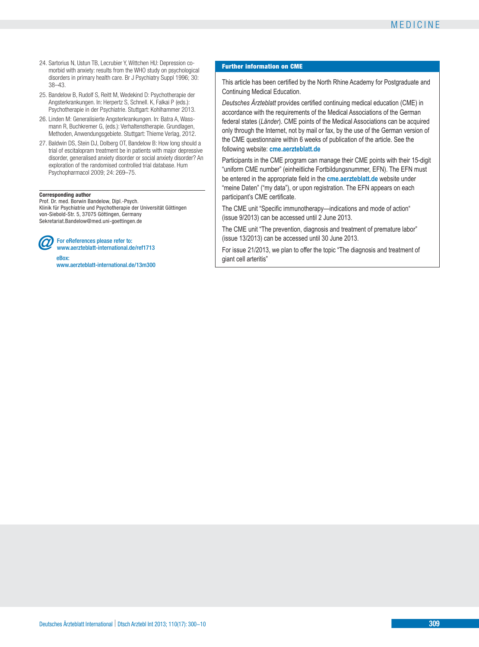- 24. Sartorius N, Ustun TB, Lecrubier Y, Wittchen HU: Depression comorbid with anxiety: results from the WHO study on psychological disorders in primary health care. Br J Psychiatry Suppl 1996; 30: 38–43.
- 25. Bandelow B, Rudolf S, Reitt M, Wedekind D: Psychotherapie der Angsterkrankungen. In: Herpertz S, Schnell. K, Falkai P (eds.): Psychotherapie in der Psychiatrie. Stuttgart: Kohlhammer 2013.
- 26. Linden M: Generalisierte Angsterkrankungen. In: Batra A, Wassmann R, Buchkremer G, (eds.): Verhaltenstherapie. Grundlagen, Methoden, Anwendungsgebiete. Stuttgart: Thieme Verlag, 2012.
- 27. Baldwin DS, Stein DJ, Dolberg OT, Bandelow B: How long should a trial of escitalopram treatment be in patients with major depressive disorder, generalised anxiety disorder or social anxiety disorder? An exploration of the randomised controlled trial database. Hum Psychopharmacol 2009; 24: 269–75.

# **Corresponding author**

eBox:

Prof. Dr. med. Borwin Bandelow, Dipl.-Psych. Klinik für Psychiatrie und Psychotherapie der Universität Göttingen von-Siebold-Str. 5, 37075 Göttingen, Germany Sekretariat.Bandelow@med.uni-goettingen.de



@ For eReferences please refer to: www.aerzteblatt-international.de/ref1713

www.aerzteblatt-international.de/13m300

#### Further information on CME

This article has been certified by the North Rhine Academy for Postgraduate and Continuing Medical Education.

*Deutsches Ärzteblatt* provides certified continuing medical education (CME) in accordance with the requirements of the Medical Associations of the German federal states (*Länder*). CME points of the Medical Associations can be acquired only through the Internet, not by mail or fax, by the use of the German version of the CME questionnaire within 6 weeks of publication of the article. See the following website: **cme.aerzteblatt.de**

Participants in the CME program can manage their CME points with their 15-digit "uniform CME number" (einheitliche Fortbildungsnummer, EFN). The EFN must be entered in the appropriate field in the **cme.aerzteblatt.de** website under "meine Daten" ("my data"), or upon registration. The EFN appears on each participant's CME certificate.

The CME unit "Specific immunotherapy—indications and mode of action" (issue 9/2013) can be accessed until 2 June 2013.

The CME unit "The prevention, diagnosis and treatment of premature labor" (issue 13/2013) can be accessed until 30 June 2013.

For issue 21/2013, we plan to offer the topic "The diagnosis and treatment of giant cell arteritis"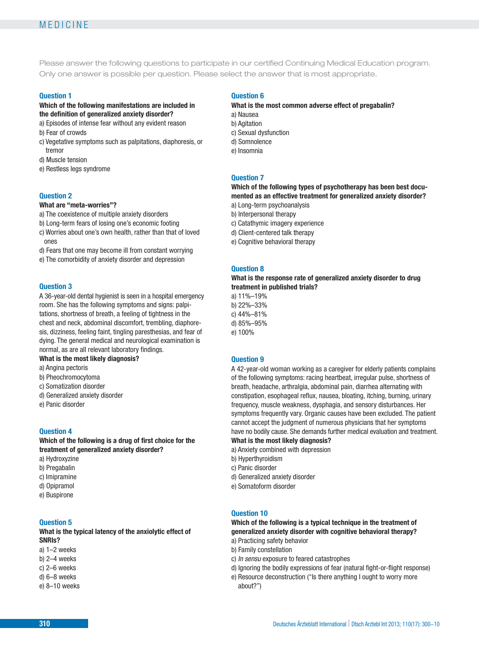Please answer the following questions to participate in our certified Continuing Medical Education program. Only one answer is possible per question. Please select the answer that is most appropriate.

# **Question 1**

#### **Which of the following manifestations are included in the definition of generalized anxiety disorder?**

- a) Episodes of intense fear without any evident reason
- b) Fear of crowds
- c) Vegetative symptoms such as palpitations, diaphoresis, or tremor
- d) Muscle tension
- e) Restless legs syndrome

## **Question 2**

# **What are "meta-worries"?**

- a) The coexistence of multiple anxiety disorders
- b) Long-term fears of losing one's economic footing
- c) Worries about one's own health, rather than that of loved ones
- d) Fears that one may become ill from constant worrying
- e) The comorbidity of anxiety disorder and depression

#### **Question 3**

A 36-year-old dental hygienist is seen in a hospital emergency room. She has the following symptoms and signs: palpitations, shortness of breath, a feeling of tightness in the chest and neck, abdominal discomfort, trembling, diaphoresis, dizziness, feeling faint, tingling paresthesias, and fear of dying. The general medical and neurological examination is normal, as are all relevant laboratory findings.

#### **What is the most likely diagnosis?**

a) Angina pectoris

- b) Pheochromocytoma
- c) Somatization disorder
- d) Generalized anxiety disorder
- e) Panic disorder

# **Question 4**

**Which of the following is a drug of first choice for the treatment of generalized anxiety disorder?** 

- a) Hydroxyzine
- b) Pregabalin
- c) Imipramine
- d) Opipramol
- e) Buspirone

## **Question 5**

**What is the typical latency of the anxiolytic effect of SNRIs?**

- a) 1–2 weeks
- b) 2–4 weeks
- c) 2–6 weeks
- d) 6–8 weeks
- e) 8–10 weeks

# **Question 6**

- **What is the most common adverse effect of pregabalin?**
- a) Nausea
- b) Agitation
- c) Sexual dysfunction
- d) Somnolence
- e) Insomnia

## **Question 7**

# **Which of the following types of psychotherapy has been best documented as an effective treatment for generalized anxiety disorder?**

- a) Long-term psychoanalysis
- b) Interpersonal therapy
- c) Catathymic imagery experience
- d) Client-centered talk therapy
- e) Cognitive behavioral therapy

## **Question 8**

# **What is the response rate of generalized anxiety disorder to drug treatment in published trials?**

a) 11%–19% b) 22%–33% c) 44%–81% d) 85%–95% e) 100%

#### **Question 9**

 A 42-year-old woman working as a caregiver for elderly patients complains of the following symptoms: racing heartbeat, irregular pulse, shortness of breath, headache, arthralgia, abdominal pain, diarrhea alternating with constipation, esophageal reflux, nausea, bloating, itching, burning, urinary frequency, muscle weakness, dysphagia, and sensory disturbances. Her symptoms frequently vary. Organic causes have been excluded. The patient cannot accept the judgment of numerous physicians that her symptoms have no bodily cause. She demands further medical evaluation and treatment. **What is the most likely diagnosis?** 

- a) Anxiety combined with depression
- b) Hyperthyroidism
- c) Panic disorder
- d) Generalized anxiety disorder
- e) Somatoform disorder

# **Question 10**

# **Which of the following is a typical technique in the treatment of generalized anxiety disorder with cognitive behavioral therapy?**  a) Practicing safety behavior

- b) Family constellation
- c) *In sensu* exposure to feared catastrophes
- d) Ignoring the bodily expressions of fear (natural fight-or-flight response)
- e) Resource deconstruction ("Is there anything I ought to worry more about?")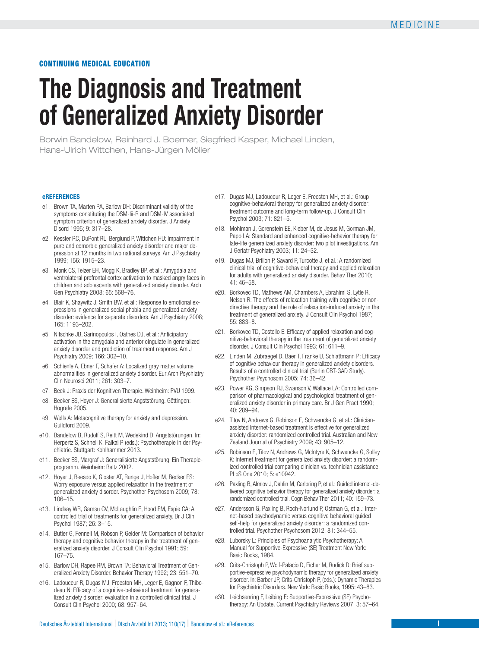# CONTINUING MEDICAL EDUCATION

# **The Diagnosis and Treatment of Generalized Anxiety Disorder**

Borwin Bandelow, Reinhard J. Boerner, Siegfried Kasper, Michael Linden, Hans-Ulrich Wittchen, Hans-Jürgen Möller

#### **eREFERENCES**

- e1. Brown TA, Marten PA, Barlow DH: Discriminant validity of the symptoms constituting the DSM-Iii-R and DSM-IV associated symptom criterion of generalized anxiety disorder. J Anxiety Disord 1995; 9: 317–28.
- e2. Kessler RC, DuPont RL, Berglund P, Wittchen HU: Impairment in pure and comorbid generalized anxiety disorder and major depression at 12 months in two national surveys. Am J Psychiatry 1999; 156: 1915–23.
- e3. Monk CS, Telzer EH, Mogg K, Bradley BP, et al.: Amygdala and ventrolateral prefrontal cortex activation to masked angry faces in children and adolescents with generalized anxiety disorder. Arch Gen Psychiatry 2008; 65: 568–76.
- e4. Blair K, Shaywitz J, Smith BW, et al.: Response to emotional expressions in generalized social phobia and generalized anxiety disorder: evidence for separate disorders. Am J Psychiatry 2008; 165: 1193–202.
- e5. Nitschke JB, Sarinopoulos I, Oathes DJ, et al.: Anticipatory activation in the amygdala and anterior cingulate in generalized anxiety disorder and prediction of treatment response. Am J Psychiatry 2009; 166: 302–10.
- e6. Schienle A, Ebner F, Schafer A: Localized gray matter volume abnormalities in generalized anxiety disorder. Eur Arch Psychiatry Clin Neurosci 2011; 261: 303–7.
- e7. Beck J: Praxis der Kognitiven Therapie. Weinheim: PVU 1999.
- e8. Becker ES, Hoyer J: Generalisierte Angststörung. Göttingen: Hogrefe 2005.
- e9. Wells A: Metacognitive therapy for anxiety and depression. Guildford 2009.
- e10. Bandelow B, Rudolf S, Reitt M, Wedekind D: Angststörungen. In: Herpertz S, Schnell K, Falkai P (eds.): Psychotherapie in der Psychiatrie. Stuttgart: Kohlhammer 2013.
- e11. Becker ES, Margraf J: Generalisierte Angststörung. Ein Therapieprogramm. Weinheim: Beltz 2002.
- e12. Hoyer J, Beesdo K, Gloster AT, Runge J, Hofler M, Becker ES: Worry exposure versus applied relaxation in the treatment of generalized anxiety disorder. Psychother Psychosom 2009; 78: 106–15.
- e13. Lindsay WR, Gamsu CV, McLaughlin E, Hood EM, Espie CA: A controlled trial of treatments for generalized anxiety. Br J Clin Psychol 1987; 26: 3–15.
- e14. Butler G, Fennell M, Robson P, Gelder M: Comparison of behavior therapy and cognitive behavior therapy in the treatment of generalized anxiety disorder. J Consult Clin Psychol 1991; 59: 167–75.
- e15. Barlow DH, Rapee RM, Brown TA: Behavioral Treatment of Generalized Anxiety Disorder. Behavior Therapy 1992; 23: 551–70.
- e16. Ladouceur R, Dugas MJ, Freeston MH, Leger E, Gagnon F, Thibodeau N: Efficacy of a cognitive-behavioral treatment for generalized anxiety disorder: evaluation in a controlled clinical trial. J Consult Clin Psychol 2000; 68: 957–64.
- e17. Dugas MJ, Ladouceur R, Leger E, Freeston MH, et al.: Group cognitive-behavioral therapy for generalized anxiety disorder: treatment outcome and long-term follow-up. J Consult Clin Psychol 2003; 71: 821–5.
- e18. Mohlman J, Gorenstein EE, Kleber M, de Jesus M, Gorman JM, Papp LA: Standard and enhanced cognitive-behavior therapy for late-life generalized anxiety disorder: two pilot investigations. Am J Geriatr Psychiatry 2003; 11: 24–32.
- e19. Dugas MJ, Brillon P, Savard P, Turcotte J, et al.: A randomized clinical trial of cognitive-behavioral therapy and applied relaxation for adults with generalized anxiety disorder. Behav Ther 2010;  $41:46 - 58$
- e20. Borkovec TD, Mathews AM, Chambers A, Ebrahimi S, Lytle R, Nelson R: The effects of relaxation training with cognitive or nondirective therapy and the role of relaxation-induced anxiety in the treatment of generalized anxiety. J Consult Clin Psychol 1987; 55: 883–8.
- e21. Borkovec TD, Costello E: Efficacy of applied relaxation and cognitive-behavioral therapy in the treatment of generalized anxiety disorder. J Consult Clin Psychol 1993; 61: 611–9.
- e22. Linden M, Zubraegel D, Baer T, Franke U, Schlattmann P: Efficacy of cognitive behaviour therapy in generalized anxiety disorders. Results of a controlled clinical trial (Berlin CBT-GAD Study). Psychother Psychosom 2005; 74: 36–42.
- e23. Power KG, Simpson RJ, Swanson V, Wallace LA: Controlled comparison of pharmacological and psychological treatment of generalized anxiety disorder in primary care. Br J Gen Pract 1990; 40: 289–94.
- e24. Titov N, Andrews G, Robinson E, Schwencke G, et al.: Clinicianassisted Internet-based treatment is effective for generalized anxiety disorder: randomized controlled trial. Australian and New Zealand Journal of Psychiatry 2009; 43: 905–12.
- e25. Robinson E, Titov N, Andrews G, McIntyre K, Schwencke G, Solley K: Internet treatment for generalized anxiety disorder: a random ized controlled trial comparing clinician vs. technician assistance. PLoS One 2010; 5: e10942.
- e26. Paxling B, Almlov J, Dahlin M, Carlbring P, et al.: Guided internet-delivered cognitive behavior therapy for generalized anxiety disorder: a randomized controlled trial. Cogn Behav Ther 2011; 40: 159–73.
- e27. Andersson G, Paxling B, Roch-Norlund P, Ostman G, et al.: Internet-based psychodynamic versus cognitive behavioral guided self-help for generalized anxiety disorder: a randomized controlled trial. Psychother Psychosom 2012; 81: 344–55.
- e28. Luborsky L: Principles of Psychoanalytic Psychotherapy: A Manual for Supportive-Expressive (SE) Treatment New York: Basic Books, 1984.
- e29. Crits-Christoph P, Wolf-Palacio D, Ficher M, Rudick D: Brief supportive-expressive psychodynamic therapy for generalized anxiety disorder. In: Barber JP, Crits-Christoph P, (eds.): Dynamic Therapies for Psychiatric Disorders. New York: Basic Books, 1995: 43–83.
- e30. Leichsenring F, Leibing E: Supportive-Expressive (SE) Psychotherapy: An Update. Current Psychiatry Reviews 2007; 3: 57–64.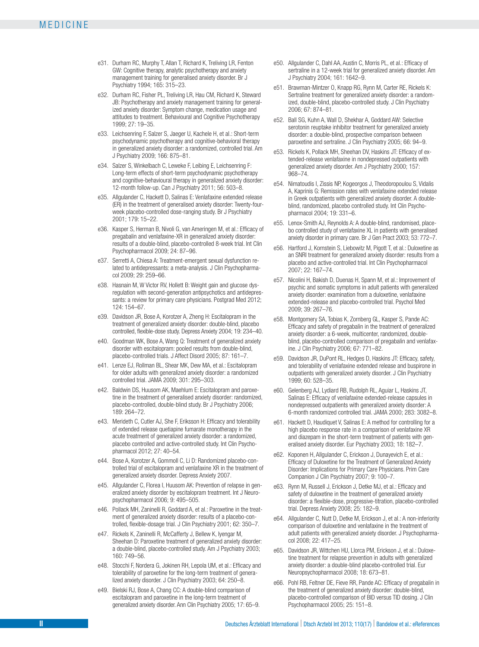- e31. Durham RC, Murphy T, Allan T, Richard K, Treliving LR, Fenton GW: Cognitive therapy, analytic psychotherapy and anxiety management training for generalised anxiety disorder. Br J Psychiatry 1994; 165: 315–23.
- e32. Durham RC, Fisher PL, Treliving LR, Hau CM, Richard K, Steward JB: Psychotherapy and anxiety management training for generalized anxiety disorder: Symptom change, medication usage and attitudes to treatment. Behavioural and Cognitive Psychotherapy 1999; 27: 19–35.
- e33. Leichsenring F, Salzer S, Jaeger U, Kachele H, et al.: Short-term psychodynamic psychotherapy and cognitive-behavioral therapy in generalized anxiety disorder: a randomized, controlled trial. Am J Psychiatry 2009; 166: 875–81.
- e34. Salzer S, Winkelbach C, Leweke F, Leibing E, Leichsenring F: Long-term effects of short-term psychodynamic psychotherapy and cognitive-behavioural therapy in generalized anxiety disorder: 12-month follow-up. Can J Psychiatry 2011; 56: 503–8.
- e35. Allgulander C, Hackett D, Salinas E: Venlafaxine extended release (ER) in the treatment of generalised anxiety disorder: Twenty-fourweek placebo-controlled dose-ranging study. Br J Psychiatry 2001; 179: 15–22.
- e36. Kasper S, Herman B, Nivoli G, van Ameringen M, et al.: Efficacy of pregabalin and venlafaxine-XR in generalized anxiety disorder: results of a double-blind, placebo-controlled 8-week trial. Int Clin Psychopharmacol 2009; 24: 87–96.
- e37. Serretti A, Chiesa A: Treatment-emergent sexual dysfunction related to antidepressants: a meta-analysis. J Clin Psychopharmacol 2009; 29: 259–66.
- e38. Hasnain M, W Victor RV, Hollett B: Weight gain and glucose dysregulation with second-generation antipsychotics and antidepressants: a review for primary care physicians. Postgrad Med 2012; 124: 154–67.
- e39. Davidson JR, Bose A, Korotzer A, Zheng H: Escitalopram in the treatment of generalized anxiety disorder: double-blind, placebo controlled, flexible-dose study. Depress Anxiety 2004; 19: 234–40.
- e40. Goodman WK, Bose A, Wang Q: Treatment of generalized anxiety disorder with escitalopram: pooled results from double-blind, placebo-controlled trials. J Affect Disord 2005; 87: 161–7.
- e41. Lenze EJ, Rollman BL, Shear MK, Dew MA, et al.: Escitalopram for older adults with generalized anxiety disorder: a randomized controlled trial. JAMA 2009; 301: 295–303.
- e42. Baldwin DS, Huusom AK, Maehlum E: Escitalopram and paroxetine in the treatment of generalised anxiety disorder: randomized, placebo-controlled, double-blind study. Br J Psychiatry 2006; 189: 264–72.
- e43. Merideth C, Cutler AJ, She F, Eriksson H: Efficacy and tolerability of extended release quetiapine fumarate monotherapy in the acute treatment of generalized anxiety disorder: a randomized, placebo controlled and active-controlled study. Int Clin Psychopharmacol 2012; 27: 40–54.
- e44. Bose A, Korotzer A, Gommoll C, Li D: Randomized placebo-controlled trial of escitalopram and venlafaxine XR in the treatment of generalized anxiety disorder. Depress Anxiety 2007.
- e45. Allgulander C, Florea I, Huusom AK: Prevention of relapse in generalized anxiety disorder by escitalopram treatment. Int J Neuropsychopharmacol 2006; 9: 495–505.
- e46. Pollack MH, Zaninelli R, Goddard A, et al.: Paroxetine in the treatment of generalized anxiety disorder: results of a placebo-controlled, flexible-dosage trial. J Clin Psychiatry 2001; 62: 350–7.
- e47. Rickels K, Zaninelli R, McCafferty J, Bellew K, Iyengar M, Sheehan D: Paroxetine treatment of generalized anxiety disorder: a double-blind, placebo-controlled study. Am J Psychiatry 2003; 160: 749–56.
- e48. Stocchi F, Nordera G, Jokinen RH, Lepola UM, et al.: Efficacy and tolerability of paroxetine for the long-term treatment of genera lized anxiety disorder. J Clin Psychiatry 2003; 64: 250–8.
- e49. Bielski RJ, Bose A, Chang CC: A double-blind comparison of escitalopram and paroxetine in the long-term treatment of generalized anxiety disorder. Ann Clin Psychiatry 2005; 17: 65-9.
- e50. Allgulander C, Dahl AA, Austin C, Morris PL, et al.: Efficacy of sertraline in a 12-week trial for generalized anxiety disorder. Am J Psychiatry 2004; 161: 1642–9.
- e51. Brawman-Mintzer O, Knapp RG, Rynn M, Carter RE, Rickels K: Sertraline treatment for generalized anxiety disorder: a random ized, double-blind, placebo-controlled study. J Clin Psychiatry 2006; 67: 874–81.
- e52. Ball SG, Kuhn A, Wall D, Shekhar A, Goddard AW: Selective serotonin reuptake inhibitor treatment for generalized anxiety disorder: a double-blind, prospective comparison between paroxetine and sertraline. J Clin Psychiatry 2005; 66: 94–9.
- e53. Rickels K, Pollack MH, Sheehan DV, Haskins JT: Efficacy of extended-release venlafaxine in nondepressed outpatients with generalized anxiety disorder. Am J Psychiatry 2000; 157: 968–74.
- e54. Nimatoudis I, Zissis NP, Kogeorgos J, Theodoropoulou S, Vidalis A, Kaprinis G: Remission rates with venlafaxine extended release in Greek outpatients with generalized anxiety disorder. A doubleblind, randomized, placebo controlled study. Int Clin Psychopharmacol 2004; 19: 331–6.
- e55. Lenox-Smith AJ, Reynolds A: A double-blind, randomised, placebo controlled study of venlafaxine XL in patients with generalised anxiety disorder in primary care. Br J Gen Pract 2003; 53: 772–7.
- e56. Hartford J, Kornstein S, Liebowitz M, Pigott T, et al.: Duloxetine as an SNRI treatment for generalized anxiety disorder: results from a placebo and active-controlled trial. Int Clin Psychopharmacol 2007; 22: 167–74.
- e57. Nicolini H, Bakish D, Duenas H, Spann M, et al.: Improvement of psychic and somatic symptoms in adult patients with generalized anxiety disorder: examination from a duloxetine, venlafaxine extended-release and placebo-controlled trial. Psychol Med 2009; 39: 267–76.
- e58. Montgomery SA, Tobias K, Zornberg GL, Kasper S, Pande AC: Efficacy and safety of pregabalin in the treatment of generalized anxiety disorder: a 6-week, multicenter, randomized, doubleblind, placebo-controlled comparison of pregabalin and venlafaxine. J Clin Psychiatry 2006; 67: 771–82.
- e59. Davidson JR, DuPont RL, Hedges D, Haskins JT: Efficacy, safety, and tolerability of venlafaxine extended release and buspirone in outpatients with generalized anxiety disorder. J Clin Psychiatry 1999; 60: 528–35.
- e60. Gelenberg AJ, Lydiard RB, Rudolph RL, Aguiar L, Haskins JT, Salinas E: Efficacy of venlafaxine extended-release capsules in nondepressed outpatients with generalized anxiety disorder: A 6-month randomized controlled trial. JAMA 2000; 283: 3082–8.
- e61. Hackett D, Haudiquet V, Salinas E: A method for controlling for a high placebo response rate in a comparison of venlafaxine XR and diazepam in the short-term treatment of patients with generalised anxiety disorder. Eur Psychiatry 2003; 18: 182–7.
- e62. Koponen H, Allgulander C, Erickson J, Dunayevich E, et al.: Efficacy of Duloxetine for the Treatment of Generalized Anxiety Disorder: Implications for Primary Care Physicians. Prim Care Companion J Clin Psychiatry 2007; 9: 100–7.
- e63. Rynn M, Russell J, Erickson J, Detke MJ, et al.: Efficacy and safety of duloxetine in the treatment of generalized anxiety disorder: a flexible-dose, progressive-titration, placebo-controlled trial. Depress Anxiety 2008; 25: 182–9.
- e64. Allgulander C, Nutt D, Detke M, Erickson J, et al.: A non-inferiority comparison of duloxetine and venlafaxine in the treatment of adult patients with generalized anxiety disorder. J Psychopharmacol 2008; 22: 417–25.
- e65. Davidson JR, Wittchen HU, Llorca PM, Erickson J, et al.: Duloxetine treatment for relapse prevention in adults with generalized anxiety disorder: a double-blind placebo-controlled trial. Eur Neuropsychopharmacol 2008; 18: 673–81.
- e66. Pohl RB, Feltner DE, Fieve RR, Pande AC: Efficacy of pregabalin in the treatment of generalized anxiety disorder: double-blind, placebo-controlled comparison of BID versus TID dosing. J Clin Psychopharmacol 2005; 25: 151–8.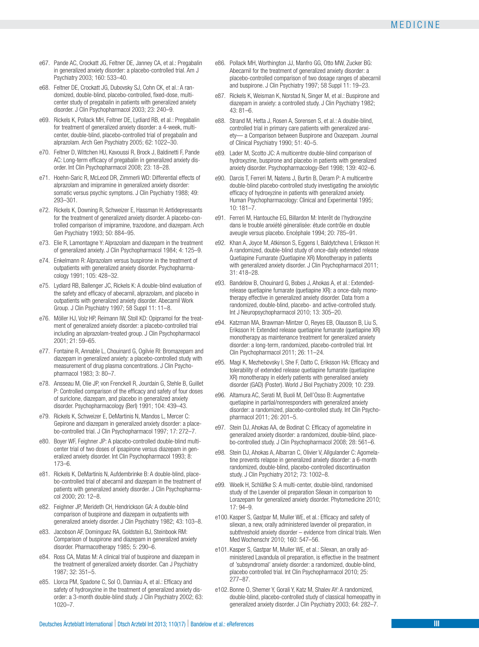- e67. Pande AC, Crockatt JG, Feltner DE, Janney CA, et al.: Pregabalin in generalized anxiety disorder: a placebo-controlled trial. Am J Psychiatry 2003; 160: 533–40.
- e68. Feltner DE, Crockatt JG, Dubovsky SJ, Cohn CK, et al.: A randomized, double-blind, placebo-controlled, fixed-dose, multicenter study of pregabalin in patients with generalized anxiety dis order. J Clin Psychopharmacol 2003; 23: 240–9.
- e69. Rickels K, Pollack MH, Feltner DE, Lydiard RB, et al.: Pregabalin for treatment of generalized anxiety disorder: a 4-week, multicenter, double-blind, placebo-controlled trial of pregabalin and alprazolam. Arch Gen Psychiatry 2005; 62: 1022–30.
- e70. Feltner D, Wittchen HU, Kavoussi R, Brock J, Baldinetti F, Pande AC: Long-term efficacy of pregabalin in generalized anxiety disorder. Int Clin Psychopharmacol 2008; 23: 18–28.
- e71. Hoehn-Saric R, McLeod DR, Zimmerli WD: Differential effects of alprazolam and imipramine in generalized anxiety disorder: somatic versus psychic symptoms. J Clin Psychiatry 1988; 49: 293–301.
- e72. Rickels K, Downing R, Schweizer E, Hassman H: Antidepressants for the treatment of generalized anxiety disorder. A placebo-controlled comparison of imipramine, trazodone, and diazepam. Arch Gen Psychiatry 1993; 50: 884–95.
- e73. Elie R, Lamontagne Y: Alprazolam and diazepam in the treatment of generalized anxiety. J Clin Psychopharmacol 1984; 4: 125–9.
- e74. Enkelmann R: Alprazolam versus buspirone in the treatment of outpatients with generalized anxiety disorder. Psychopharmacology 1991; 105: 428–32.
- e75. Lydiard RB, Ballenger JC, Rickels K: A double-blind evaluation of the safety and efficacy of abecarnil, alprazolam, and placebo in outpatients with generalized anxiety disorder. Abecarnil Work Group. J Clin Psychiatry 1997; 58 Suppl 11: 11–8.
- e76. Möller HJ, Volz HP, Reimann IW, Stoll KD: Opipramol for the treatment of generalized anxiety disorder: a placebo-controlled trial including an alprazolam-treated group. J Clin Psychopharmacol 2001; 21: 59–65.
- e77. Fontaine R, Annable L, Chouinard G, Ogilvie RI: Bromazepam and diazepam in generalized anxiety: a placebo-controlled study with measurement of drug plasma concentrations. J Clin Psychopharmacol 1983; 3: 80–7.
- e78. Ansseau M, Olie JP, von Frenckell R, Jourdain G, Stehle B, Guillet P: Controlled comparison of the efficacy and safety of four doses of suriclone, diazepam, and placebo in generalized anxiety disorder. Psychopharmacology (Berl) 1991; 104: 439–43.
- e79. Rickels K, Schweizer E, DeMartinis N, Mandos L, Mercer C: Gepirone and diazepam in generalized anxiety disorder: a placebo-controlled trial. J Clin Psychopharmacol 1997; 17: 272–7.
- e80. Boyer WF, Feighner JP: A placebo-controlled double-blind multicenter trial of two doses of ipsapirone versus diazepam in generalized anxiety disorder. Int Clin Psychopharmacol 1993; 8: 173–6.
- e81. Rickels K, DeMartinis N, Aufdembrinke B: A double-blind, placebo-controlled trial of abecarnil and diazepam in the treatment of patients with generalized anxiety disorder. J Clin Psychopharmacol 2000; 20: 12–8.
- e82. Feighner JP, Merideth CH, Hendrickson GA: A double-blind comparison of buspirone and diazepam in outpatients with generalized anxiety disorder. J Clin Psychiatry 1982; 43: 103-8.
- e83. Jacobson AF, Dominguez RA, Goldstein BJ, Steinbook RM: Comparison of buspirone and diazepam in generalized anxiety disorder. Pharmacotherapy 1985; 5: 290–6.
- e84. Ross CA, Matas M: A clinical trial of buspirone and diazepam in the treatment of generalized anxiety disorder. Can J Psychiatry 1987; 32: 351–5.
- e85. Llorca PM, Spadone C, Sol O, Danniau A, et al.: Efficacy and safety of hydroxyzine in the treatment of generalized anxiety disorder: a 3-month double-blind study. J Clin Psychiatry 2002; 63: 1020–7.
- e86. Pollack MH, Worthington JJ, Manfro GG, Otto MW, Zucker BG: Abecarnil for the treatment of generalized anxiety disorder: a placebo-controlled comparison of two dosage ranges of abecarnil and buspirone. J Clin Psychiatry 1997; 58 Suppl 11: 19–23.
- e87. Rickels K, Weisman K, Norstad N, Singer M, et al.: Buspirone and diazepam in anxiety: a controlled study. J Clin Psychiatry 1982; 43: 81–6.
- e88. Strand M, Hetta J, Rosen A, Sorensen S, et al.: A double-blind, controlled trial in primary care patients with generalized anxiety— a Comparison between Buspirone and Oxazepam. Journal of Clinical Psychiatry 1990; 51: 40–5.
- e89. Lader M, Scotto JC: A multicentre double-blind comparison of hydroxyzine, buspirone and placebo in patients with generalized anxiety disorder. Psychopharmacology-Berl 1998; 139: 402–6.
- e90. Darcis T, Ferreri M, Natens J, Burtin B, Deram P: A multicentre double-blind placebo-controlled study investigating the anxiolytic efficacy of hydroxyzine in patients with generalized anxiety. Human Psychopharmacology: Clinical and Experimental 1995; 10: 181–7.
- e91. Ferreri M, Hantouche EG, Billardon M: Interêt de l'hydroxyzine dans le trouble anxiété géneralisée: étude contrôle en double aveugle versus placebo. Encéphale 1994; 20: 785–91.
- e92. Khan A, Joyce M, Atkinson S, Eggens I, Baldytcheva I, Eriksson H: A randomized, double-blind study of once-daily extended release Quetiapine Fumarate (Quetiapine XR) Monotherapy in patients with generalized anxiety disorder. J Clin Psychopharmacol 2011; 31: 418–28.
- e93. Bandelow B, Chouinard G, Bobes J, Ahokas A, et al.: Extendedrelease quetiapine fumarate (quetiapine XR): a once-daily monotherapy effective in generalized anxiety disorder. Data from a randomized, double-blind, placebo- and active-controlled study. Int J Neuropsychopharmacol 2010; 13: 305–20.
- e94. Katzman MA, Brawman-Mintzer O, Reyes EB, Olausson B, Liu S, Eriksson H: Extended release quetiapine fumarate (quetiapine XR) monotherapy as maintenance treatment for generalized anxiety disorder: a long-term, randomized, placebo-controlled trial. Int Clin Psychopharmacol 2011; 26: 11–24.
- e95. Magi K, Mezhebovsky I, She F, Datto C, Eriksson HA: Efficacy and tolerability of extended release quetiapine fumarate (quetiapine XR) monotherapy in elderly patients with generalised anxiety disorder (GAD) (Poster). World J Biol Psychiatry 2009; 10: 239.
- e96. Altamura AC, Serati M, Buoli M, Dell'Osso B: Augmentative quetiapine in partial/nonresponders with generalized anxiety disorder: a randomized, placebo-controlled study. Int Clin Psychopharmacol 2011; 26: 201–5.
- e97. Stein DJ, Ahokas AA, de Bodinat C: Efficacy of agomelatine in generalized anxiety disorder: a randomized, double-blind, placebo-controlled study. J Clin Psychopharmacol 2008; 28: 561–6.
- e98. Stein DJ, Ahokas A, Albarran C, Olivier V, Allgulander C: Agomelatine prevents relapse in generalized anxiety disorder: a 6-month randomized, double-blind, placebo-controlled discontinuation study. J Clin Psychiatry 2012; 73: 1002–8.
- e99. Woelk H, Schläfke S: A multi-center, double-blind, randomised study of the Lavender oil preparation Silexan in comparison to Lorazepam for generalized anxiety disorder. Phytomedicine 2010; 17: 94–9.
- e100. Kasper S, Gastpar M, Muller WE, et al.: Efficacy and safety of silexan, a new, orally administered lavender oil preparation, in subthreshold anxiety disorder – evidence from clinical trials. Wien Med Wochenschr 2010; 160: 547–56.
- e101. Kasper S, Gastpar M, Muller WE, et al.: Silexan, an orally administered Lavandula oil preparation, is effective in the treatment of 'subsyndromal' anxiety disorder: a randomized, double-blind, placebo controlled trial. Int Clin Psychopharmacol 2010; 25: 277–87.
- e102. Bonne O, Shemer Y, Gorali Y, Katz M, Shalev AY: A randomized, double-blind, placebo-controlled study of classical homeopathy in generalized anxiety disorder. J Clin Psychiatry 2003; 64: 282–7.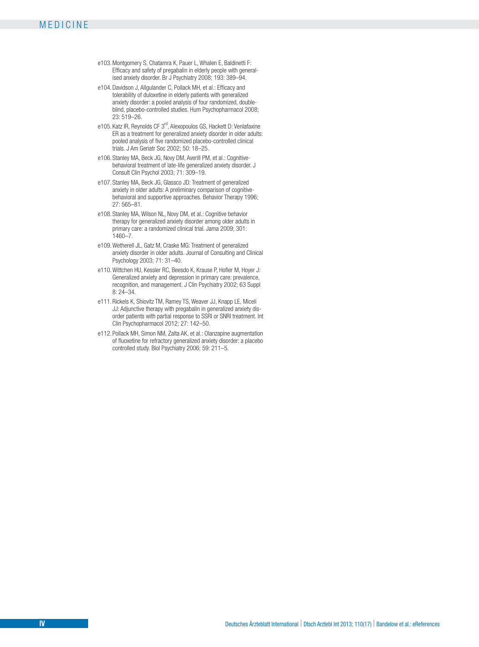- e103. Montgomery S, Chatamra K, Pauer L, Whalen E, Baldinetti F: Efficacy and safety of pregabalin in elderly people with generalised anxiety disorder. Br J Psychiatry 2008; 193: 389–94.
- e104. Davidson J, Allgulander C, Pollack MH, et al.: Efficacy and tolerability of duloxetine in elderly patients with generalized anxiety disorder: a pooled analysis of four randomized, doubleblind, placebo-controlled studies. Hum Psychopharmacol 2008; 23: 519–26.
- e105. Katz IR, Reynolds CF 3<sup>rd</sup>, Alexopoulos GS, Hackett D: Venlafaxine ER as a treatment for generalized anxiety disorder in older adults: pooled analysis of five randomized placebo-controlled clinical trials. J Am Geriatr Soc 2002; 50: 18–25.
- e106. Stanley MA, Beck JG, Novy DM, Averill PM, et al.: Cognitive behavioral treatment of late-life generalized anxiety disorder. J Consult Clin Psychol 2003; 71: 309–19.
- e107. Stanley MA, Beck JG, Glassco JD: Treatment of generalized anxiety in older adults: A preliminary comparison of cognitive behavioral and supportive approaches. Behavior Therapy 1996; 27: 565–81.
- e108. Stanley MA, Wilson NL, Now DM, et al.: Cognitive behavior therapy for generalized anxiety disorder among older adults in primary care: a randomized clinical trial. Jama 2009; 301: 1460–7.
- e109. Wetherell JL, Gatz M, Craske MG: Treatment of generalized anxiety disorder in older adults. Journal of Consulting and Clinical Psychology 2003; 71: 31–40.
- e110. Wittchen HU, Kessler RC, Beesdo K, Krause P, Hofler M, Hoyer J: Generalized anxiety and depression in primary care: prevalence, recognition, and management. J Clin Psychiatry 2002; 63 Suppl 8: 24–34.
- e111. Rickels K, Shiovitz TM, Ramey TS, Weaver JJ, Knapp LE, Miceli JJ: Adjunctive therapy with pregabalin in generalized anxiety disorder patients with partial response to SSRI or SNRI treatment. Int Clin Psychopharmacol 2012; 27: 142–50.
- e112. Pollack MH, Simon NM, Zalta AK, et al.: Olanzapine augmentation of fluoxetine for refractory generalized anxiety disorder: a placebo controlled study. Biol Psychiatry 2006; 59: 211–5.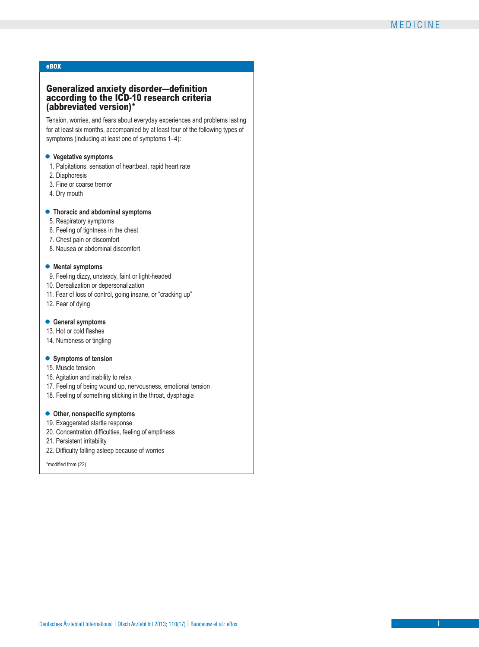# eBOX

# Generalized anxiety disorder—definition according to the ICD-10 research criteria (abbreviated version)\*

Tension, worries, and fears about everyday experiences and problems lasting for at least six months, accompanied by at least four of the following types of symptoms (including at least one of symptoms 1–4):

## **● Vegetative symptoms**

- 1. Palpitations, sensation of heartbeat, rapid heart rate
- 2. Diaphoresis
- 3. Fine or coarse tremor
- 4. Dry mouth

# **● Thoracic and abdominal symptoms**

- 5. Respiratory symptoms
- 6. Feeling of tightness in the chest
- 7. Chest pain or discomfort
- 8. Nausea or abdominal discomfort

# **● Mental symptoms**

- 9. Feeling dizzy, unsteady, faint or light-headed
- 10. Derealization or depersonalization
- 11. Fear of loss of control, going insane, or "cracking up"
- 12. Fear of dying

# **● General symptoms**

- 13. Hot or cold flashes
- 14. Numbness or tingling

# **● Symptoms of tension**

- 15. Muscle tension
- 16. Agitation and inability to relax
- 17. Feeling of being wound up, nervousness, emotional tension
- 18. Feeling of something sticking in the throat, dysphagia

# **● Other, nonspecific symptoms**

- 19. Exaggerated startle response
- 20. Concentration difficulties, feeling of emptiness
- 21. Persistent irritability
- 22. Difficulty falling asleep because of worries

\*modified from (22)